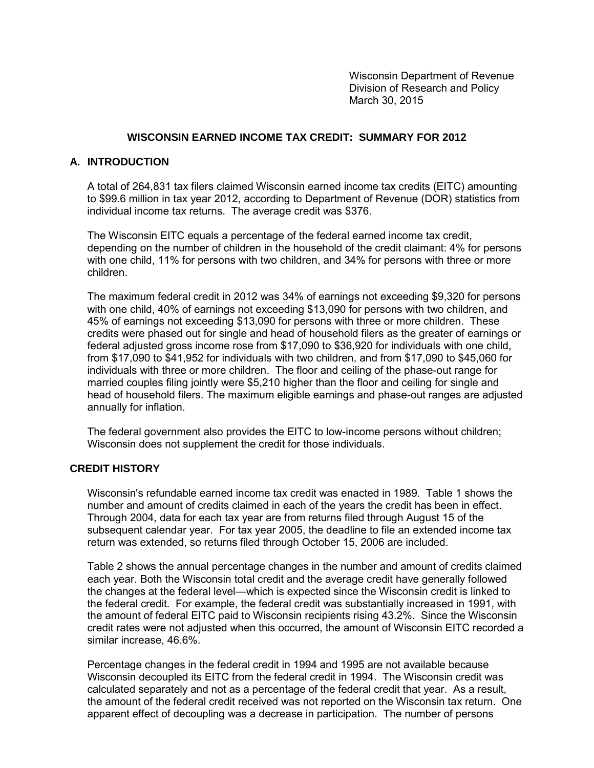Wisconsin Department of Revenue Division of Research and Policy March 30, 2015

## **WISCONSIN EARNED INCOME TAX CREDIT: SUMMARY FOR 2012**

## **A. INTRODUCTION**

A total of 264,831 tax filers claimed Wisconsin earned income tax credits (EITC) amounting to \$99.6 million in tax year 2012, according to Department of Revenue (DOR) statistics from individual income tax returns. The average credit was \$376.

The Wisconsin EITC equals a percentage of the federal earned income tax credit, depending on the number of children in the household of the credit claimant: 4% for persons with one child, 11% for persons with two children, and 34% for persons with three or more children.

The maximum federal credit in 2012 was 34% of earnings not exceeding \$9,320 for persons with one child, 40% of earnings not exceeding \$13,090 for persons with two children, and 45% of earnings not exceeding \$13,090 for persons with three or more children. These credits were phased out for single and head of household filers as the greater of earnings or federal adjusted gross income rose from \$17,090 to \$36,920 for individuals with one child, from \$17,090 to \$41,952 for individuals with two children, and from \$17,090 to \$45,060 for individuals with three or more children. The floor and ceiling of the phase-out range for married couples filing jointly were \$5,210 higher than the floor and ceiling for single and head of household filers. The maximum eligible earnings and phase-out ranges are adjusted annually for inflation.

The federal government also provides the EITC to low-income persons without children; Wisconsin does not supplement the credit for those individuals.

### **CREDIT HISTORY**

Wisconsin's refundable earned income tax credit was enacted in 1989. Table 1 shows the number and amount of credits claimed in each of the years the credit has been in effect. Through 2004, data for each tax year are from returns filed through August 15 of the subsequent calendar year. For tax year 2005, the deadline to file an extended income tax return was extended, so returns filed through October 15, 2006 are included.

Table 2 shows the annual percentage changes in the number and amount of credits claimed each year. Both the Wisconsin total credit and the average credit have generally followed the changes at the federal level—which is expected since the Wisconsin credit is linked to the federal credit. For example, the federal credit was substantially increased in 1991, with the amount of federal EITC paid to Wisconsin recipients rising 43.2%. Since the Wisconsin credit rates were not adjusted when this occurred, the amount of Wisconsin EITC recorded a similar increase, 46.6%.

Percentage changes in the federal credit in 1994 and 1995 are not available because Wisconsin decoupled its EITC from the federal credit in 1994. The Wisconsin credit was calculated separately and not as a percentage of the federal credit that year. As a result, the amount of the federal credit received was not reported on the Wisconsin tax return. One apparent effect of decoupling was a decrease in participation. The number of persons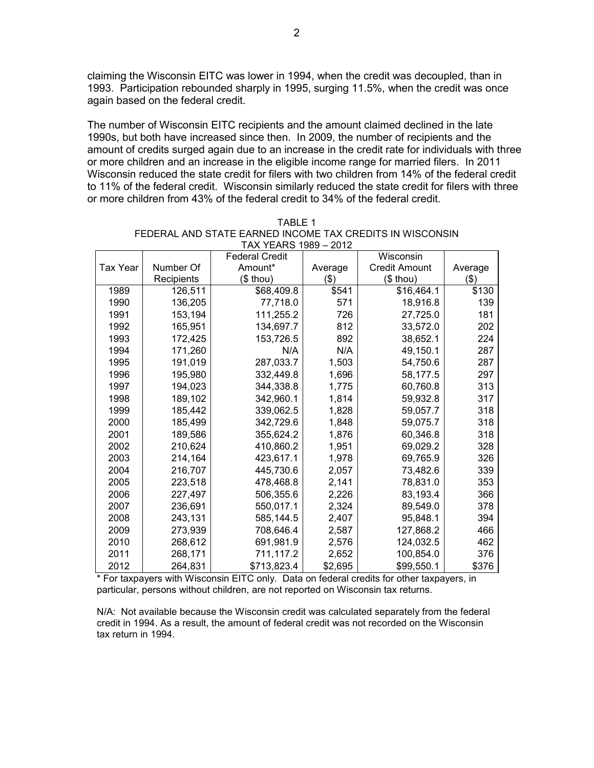claiming the Wisconsin EITC was lower in 1994, when the credit was decoupled, than in 1993. Participation rebounded sharply in 1995, surging 11.5%, when the credit was once again based on the federal credit.

The number of Wisconsin EITC recipients and the amount claimed declined in the late 1990s, but both have increased since then. In 2009, the number of recipients and the amount of credits surged again due to an increase in the credit rate for individuals with three or more children and an increase in the eligible income range for married filers. In 2011 Wisconsin reduced the state credit for filers with two children from 14% of the federal credit to 11% of the federal credit. Wisconsin similarly reduced the state credit for filers with three or more children from 43% of the federal credit to 34% of the federal credit.

|          |            | יטטו טוחם וחתו<br><b>Federal Credit</b> | – 2012  | Wisconsin            |         |
|----------|------------|-----------------------------------------|---------|----------------------|---------|
| Tax Year | Number Of  | Amount*                                 | Average | <b>Credit Amount</b> | Average |
|          | Recipients | $$$ thou)                               | \$)     | $$$ thou)            | \$)     |
| 1989     | 126,511    | \$68,409.8                              | \$541   | \$16,464.1           | \$130   |
| 1990     | 136,205    | 77,718.0                                | 571     | 18,916.8             | 139     |
| 1991     | 153,194    | 111,255.2                               | 726     | 27,725.0             | 181     |
| 1992     | 165,951    | 134,697.7                               | 812     | 33,572.0             | 202     |
| 1993     | 172,425    | 153,726.5                               | 892     | 38,652.1             | 224     |
| 1994     | 171,260    | N/A                                     | N/A     | 49,150.1             | 287     |
| 1995     | 191,019    | 287,033.7                               | 1,503   | 54,750.6             | 287     |
| 1996     | 195,980    | 332,449.8                               | 1,696   | 58,177.5             | 297     |
| 1997     | 194,023    | 344,338.8                               | 1,775   | 60,760.8             | 313     |
| 1998     | 189,102    | 342,960.1                               | 1,814   | 59,932.8             | 317     |
| 1999     | 185,442    | 339,062.5                               | 1,828   | 59,057.7             | 318     |
| 2000     | 185,499    | 342,729.6                               | 1,848   | 59,075.7             | 318     |
| 2001     | 189,586    | 355,624.2                               | 1,876   | 60,346.8             | 318     |
| 2002     | 210,624    | 410,860.2                               | 1,951   | 69,029.2             | 328     |
| 2003     | 214,164    | 423,617.1                               | 1,978   | 69,765.9             | 326     |
| 2004     | 216,707    | 445,730.6                               | 2,057   | 73,482.6             | 339     |
| 2005     | 223,518    | 478,468.8                               | 2,141   | 78,831.0             | 353     |
| 2006     | 227,497    | 506,355.6                               | 2,226   | 83,193.4             | 366     |
| 2007     | 236,691    | 550,017.1                               | 2,324   | 89,549.0             | 378     |
| 2008     | 243,131    | 585,144.5                               | 2,407   | 95,848.1             | 394     |
| 2009     | 273,939    | 708,646.4                               | 2,587   | 127,868.2            | 466     |
| 2010     | 268,612    | 691,981.9                               | 2,576   | 124,032.5            | 462     |
| 2011     | 268,171    | 711,117.2                               | 2,652   | 100,854.0            | 376     |
| 2012     | 264,831    | \$713,823.4                             | \$2,695 | \$99,550.1           | \$376   |

| TABLE 1                                                  |
|----------------------------------------------------------|
| FEDERAL AND STATE EARNED INCOME TAX CREDITS IN WISCONSIN |
| TAX YEARS 1989 - 2012                                    |

\* For taxpayers with Wisconsin EITC only. Data on federal credits for other taxpayers, in particular, persons without children, are not reported on Wisconsin tax returns.

N/A: Not available because the Wisconsin credit was calculated separately from the federal credit in 1994. As a result, the amount of federal credit was not recorded on the Wisconsin tax return in 1994.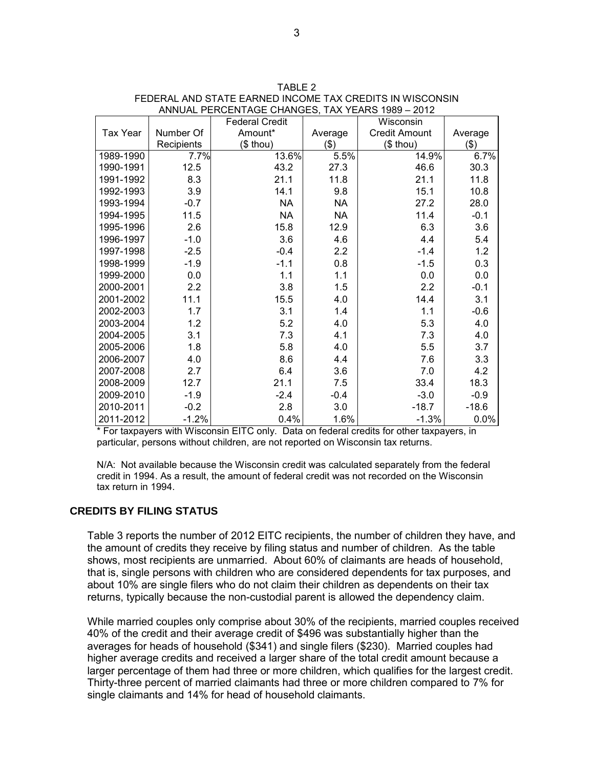|                 |                      | <b>Federal Credit</b> |           | Wisconsin            |         |
|-----------------|----------------------|-----------------------|-----------|----------------------|---------|
| <b>Tax Year</b> | Number Of<br>Amount* |                       | Average   | <b>Credit Amount</b> | Average |
|                 | Recipients           | $($$ thou)            | \$)       | $$$ thou)            | \$)     |
| 1989-1990       | 7.7%                 | 13.6%                 | 5.5%      | 14.9%                | 6.7%    |
| 1990-1991       | 12.5                 | 43.2                  | 27.3      | 46.6                 | 30.3    |
| 1991-1992       | 8.3                  | 21.1                  | 11.8      | 21.1                 | 11.8    |
| 1992-1993       | 3.9                  | 14.1                  | 9.8       | 15.1                 | 10.8    |
| 1993-1994       | $-0.7$               | <b>NA</b>             | <b>NA</b> | 27.2                 | 28.0    |
| 1994-1995       | 11.5                 | <b>NA</b>             | <b>NA</b> | 11.4                 | $-0.1$  |
| 1995-1996       | 2.6                  | 15.8                  | 12.9      | 6.3                  | 3.6     |
| 1996-1997       | $-1.0$               | 3.6                   | 4.6       | 4.4                  | 5.4     |
| 1997-1998       | $-2.5$               | $-0.4$                | 2.2       | $-1.4$               | 1.2     |
| 1998-1999       | $-1.9$               | $-1.1$                | 0.8       | $-1.5$               | 0.3     |
| 1999-2000       | 0.0                  | 1.1                   | 1.1       | 0.0                  | 0.0     |
| 2000-2001       | 2.2                  | 3.8                   | 1.5       | 2.2                  | $-0.1$  |
| 2001-2002       | 11.1                 | 15.5                  | 4.0       | 14.4                 | 3.1     |
| 2002-2003       | 1.7                  | 3.1                   | 1.4       | 1.1                  | $-0.6$  |
| 2003-2004       | 1.2                  | 5.2                   | 4.0       | 5.3                  | 4.0     |
| 2004-2005       | 3.1                  | 7.3                   | 4.1       | 7.3                  | 4.0     |
| 2005-2006       | 1.8                  | 5.8                   | 4.0       | 5.5                  | 3.7     |
| 2006-2007       | 4.0                  | 8.6                   | 4.4       | 7.6                  | 3.3     |
| 2007-2008       | 2.7                  | 6.4                   | 3.6       | 7.0                  | 4.2     |
| 2008-2009       | 12.7                 | 21.1                  | 7.5       | 33.4                 | 18.3    |
| 2009-2010       | $-1.9$               | $-2.4$                | $-0.4$    | $-3.0$               | $-0.9$  |
| 2010-2011       | $-0.2$               | 2.8                   | 3.0       | $-18.7$              | $-18.6$ |
| 2011-2012       | $-1.2%$              | 0.4%                  | 1.6%      | $-1.3%$              | 0.0%    |

| TARI F 2                                                 |
|----------------------------------------------------------|
| FEDERAL AND STATE EARNED INCOME TAX CREDITS IN WISCONSIN |
| ANNUAL PERCENTAGE CHANGES. TAX YEARS 1989 - 2012         |

\* For taxpayers with Wisconsin EITC only. Data on federal credits for other taxpayers, in particular, persons without children, are not reported on Wisconsin tax returns.

N/A: Not available because the Wisconsin credit was calculated separately from the federal credit in 1994. As a result, the amount of federal credit was not recorded on the Wisconsin tax return in 1994.

#### **CREDITS BY FILING STATUS**

Table 3 reports the number of 2012 EITC recipients, the number of children they have, and the amount of credits they receive by filing status and number of children. As the table shows, most recipients are unmarried. About 60% of claimants are heads of household, that is, single persons with children who are considered dependents for tax purposes, and about 10% are single filers who do not claim their children as dependents on their tax returns, typically because the non-custodial parent is allowed the dependency claim.

While married couples only comprise about 30% of the recipients, married couples received 40% of the credit and their average credit of \$496 was substantially higher than the averages for heads of household (\$341) and single filers (\$230). Married couples had higher average credits and received a larger share of the total credit amount because a larger percentage of them had three or more children, which qualifies for the largest credit. Thirty-three percent of married claimants had three or more children compared to 7% for single claimants and 14% for head of household claimants.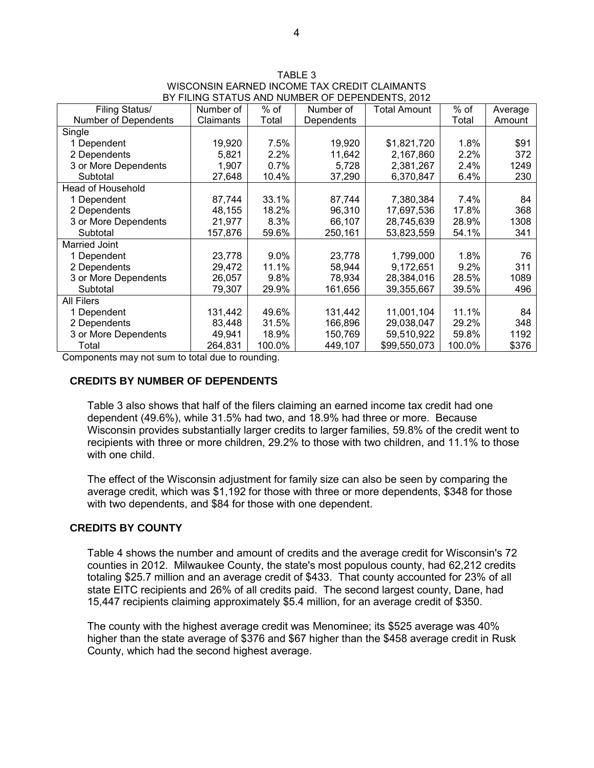| DI TIERNO OTATOO AND NOMBER OF DEFENDENTO, 2012 |           |         |            |                     |               |         |
|-------------------------------------------------|-----------|---------|------------|---------------------|---------------|---------|
| Filing Status/                                  | Number of | $%$ of  | Number of  | <b>Total Amount</b> | % of<br>Total | Average |
| Number of Dependents                            | Claimants | Total   | Dependents |                     |               | Amount  |
| Single                                          |           |         |            |                     |               |         |
| 1 Dependent                                     | 19,920    | 7.5%    | 19,920     | \$1,821,720         | 1.8%          | \$91    |
| 2 Dependents                                    | 5,821     | 2.2%    | 11,642     | 2,167,860           | 2.2%          | 372     |
| 3 or More Dependents                            | 1,907     | 0.7%    | 5,728      | 2,381,267           | 2.4%          | 1249    |
| Subtotal                                        | 27,648    | 10.4%   | 37,290     | 6,370,847           | 6.4%          | 230     |
| Head of Household                               |           |         |            |                     |               |         |
| 1 Dependent                                     | 87,744    | 33.1%   | 87.744     | 7,380,384           | 7.4%          | 84      |
| 2 Dependents                                    | 48,155    | 18.2%   | 96,310     | 17,697,536          | 17.8%         | 368     |
| 3 or More Dependents                            | 21,977    | 8.3%    | 66,107     | 28,745,639          | 28.9%         | 1308    |
| Subtotal                                        | 157,876   | 59.6%   | 250,161    | 53,823,559          | 54.1%         | 341     |
| Married Joint                                   |           |         |            |                     |               |         |
| 1 Dependent                                     | 23,778    | $9.0\%$ | 23,778     | 1,799,000           | 1.8%          | 76      |
| 2 Dependents                                    | 29,472    | 11.1%   | 58,944     | 9,172,651           | 9.2%          | 311     |
| 3 or More Dependents                            | 26,057    | 9.8%    | 78,934     | 28,384,016          | 28.5%         | 1089    |
| Subtotal                                        | 79,307    | 29.9%   | 161,656    | 39,355,667          | 39.5%         | 496     |
| <b>All Filers</b>                               |           |         |            |                     |               |         |
| 1 Dependent                                     | 131,442   | 49.6%   | 131,442    | 11,001,104          | 11.1%         | 84      |
| 2 Dependents                                    | 83,448    | 31.5%   | 166,896    | 29,038,047          | 29.2%         | 348     |
| 3 or More Dependents                            | 49,941    | 18.9%   | 150,769    | 59,510,922          | 59.8%         | 1192    |
| Total                                           | 264,831   | 100.0%  | 449,107    | \$99,550,073        | 100.0%        | \$376   |

TABLE 3 WISCONSIN EARNED INCOME TAX CREDIT CLAIMANTS BY FILING STATUS AND NUMBER OF DEPENDENTS, 2012

Components may not sum to total due to rounding.

#### **CREDITS BY NUMBER OF DEPENDENTS**

Table 3 also shows that half of the filers claiming an earned income tax credit had one dependent (49.6%), while 31.5% had two, and 18.9% had three or more. Because Wisconsin provides substantially larger credits to larger families, 59.8% of the credit went to recipients with three or more children, 29.2% to those with two children, and 11.1% to those with one child.

The effect of the Wisconsin adjustment for family size can also be seen by comparing the average credit, which was \$1,192 for those with three or more dependents, \$348 for those with two dependents, and \$84 for those with one dependent.

#### **CREDITS BY COUNTY**

Table 4 shows the number and amount of credits and the average credit for Wisconsin's 72 counties in 2012. Milwaukee County, the state's most populous county, had 62,212 credits totaling \$25.7 million and an average credit of \$433. That county accounted for 23% of all state EITC recipients and 26% of all credits paid. The second largest county, Dane, had 15,447 recipients claiming approximately \$5.4 million, for an average credit of \$350.

The county with the highest average credit was Menominee; its \$525 average was 40% higher than the state average of \$376 and \$67 higher than the \$458 average credit in Rusk County, which had the second highest average.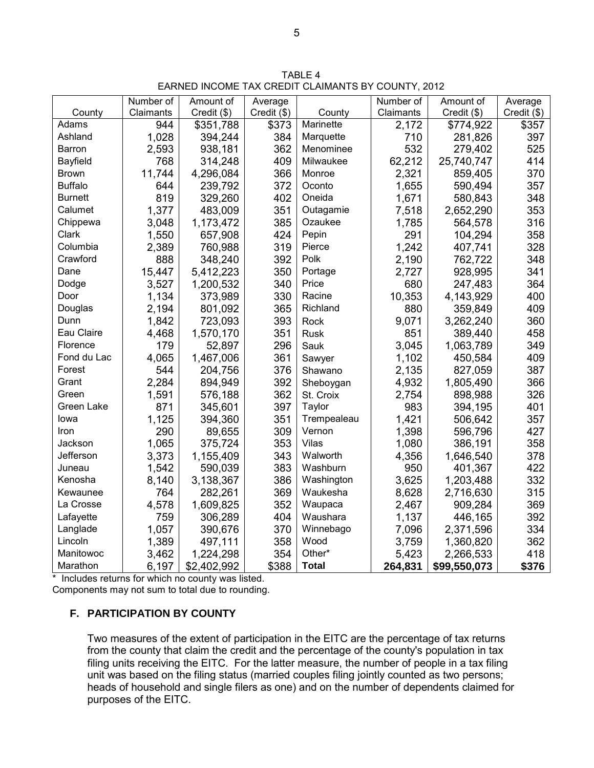TABLE 4 EARNED INCOME TAX CREDIT CLAIMANTS BY COUNTY, 2012

|                | Number of | Amount of   | Average     |              | Number of | Amount of    | Average     |
|----------------|-----------|-------------|-------------|--------------|-----------|--------------|-------------|
| County         | Claimants | Credit (\$) | Credit (\$) | County       | Claimants | Credit (\$)  | Credit (\$) |
| Adams          | 944       | \$351,788   | \$373       | Marinette    | 2,172     | \$774,922    | \$357       |
| Ashland        | 1,028     | 394,244     | 384         | Marquette    | 710       | 281,826      | 397         |
| Barron         | 2,593     | 938,181     | 362         | Menominee    | 532       | 279,402      | 525         |
| Bayfield       | 768       | 314,248     | 409         | Milwaukee    | 62,212    | 25,740,747   | 414         |
| <b>Brown</b>   | 11,744    | 4,296,084   | 366         | Monroe       | 2,321     | 859,405      | 370         |
| <b>Buffalo</b> | 644       | 239,792     | 372         | Oconto       | 1,655     | 590,494      | 357         |
| <b>Burnett</b> | 819       | 329,260     | 402         | Oneida       | 1,671     | 580,843      | 348         |
| Calumet        | 1,377     | 483,009     | 351         | Outagamie    | 7,518     | 2,652,290    | 353         |
| Chippewa       | 3,048     | 1,173,472   | 385         | Ozaukee      | 1,785     | 564,578      | 316         |
| Clark          | 1,550     | 657,908     | 424         | Pepin        | 291       | 104,294      | 358         |
| Columbia       | 2,389     | 760,988     | 319         | Pierce       | 1,242     | 407,741      | 328         |
| Crawford       | 888       | 348,240     | 392         | Polk         | 2,190     | 762,722      | 348         |
| Dane           | 15,447    | 5,412,223   | 350         | Portage      | 2,727     | 928,995      | 341         |
| Dodge          | 3,527     | 1,200,532   | 340         | Price        | 680       | 247,483      | 364         |
| Door           | 1,134     | 373,989     | 330         | Racine       | 10,353    | 4,143,929    | 400         |
| Douglas        | 2,194     | 801,092     | 365         | Richland     | 880       | 359,849      | 409         |
| Dunn           | 1,842     | 723,093     | 393         | Rock         | 9,071     | 3,262,240    | 360         |
| Eau Claire     | 4,468     | 1,570,170   | 351         | <b>Rusk</b>  | 851       | 389,440      | 458         |
| Florence       | 179       | 52,897      | 296         | Sauk         | 3,045     | 1,063,789    | 349         |
| Fond du Lac    | 4,065     | 1,467,006   | 361         | Sawyer       | 1,102     | 450,584      | 409         |
| Forest         | 544       | 204,756     | 376         | Shawano      | 2,135     | 827,059      | 387         |
| Grant          | 2,284     | 894,949     | 392         | Sheboygan    | 4,932     | 1,805,490    | 366         |
| Green          | 1,591     | 576,188     | 362         | St. Croix    | 2,754     | 898,988      | 326         |
| Green Lake     | 871       | 345,601     | 397         | Taylor       | 983       | 394,195      | 401         |
| lowa           | 1,125     | 394,360     | 351         | Trempealeau  | 1,421     | 506,642      | 357         |
| Iron           | 290       | 89,655      | 309         | Vernon       | 1,398     | 596,796      | 427         |
| Jackson        | 1,065     | 375,724     | 353         | Vilas        | 1,080     | 386,191      | 358         |
| Jefferson      | 3,373     | 1,155,409   | 343         | Walworth     | 4,356     | 1,646,540    | 378         |
| Juneau         | 1,542     | 590,039     | 383         | Washburn     | 950       | 401,367      | 422         |
| Kenosha        | 8,140     | 3,138,367   | 386         | Washington   | 3,625     | 1,203,488    | 332         |
| Kewaunee       | 764       | 282,261     | 369         | Waukesha     | 8,628     | 2,716,630    | 315         |
| La Crosse      | 4,578     | 1,609,825   | 352         | Waupaca      | 2,467     | 909,284      | 369         |
| Lafayette      | 759       | 306,289     | 404         | Waushara     | 1,137     | 446,165      | 392         |
| Langlade       | 1,057     | 390,676     | 370         | Winnebago    | 7,096     | 2,371,596    | 334         |
| Lincoln        | 1,389     | 497,111     | 358         | Wood         | 3,759     | 1,360,820    | 362         |
| Manitowoc      | 3,462     | 1,224,298   | 354         | Other*       | 5,423     | 2,266,533    | 418         |
| Marathon       | 6,197     | \$2,402,992 | \$388       | <b>Total</b> | 264,831   | \$99,550,073 | \$376       |

\* Includes returns for which no county was listed.

Components may not sum to total due to rounding.

# **F. PARTICIPATION BY COUNTY**

Two measures of the extent of participation in the EITC are the percentage of tax returns from the county that claim the credit and the percentage of the county's population in tax filing units receiving the EITC. For the latter measure, the number of people in a tax filing unit was based on the filing status (married couples filing jointly counted as two persons; heads of household and single filers as one) and on the number of dependents claimed for purposes of the EITC.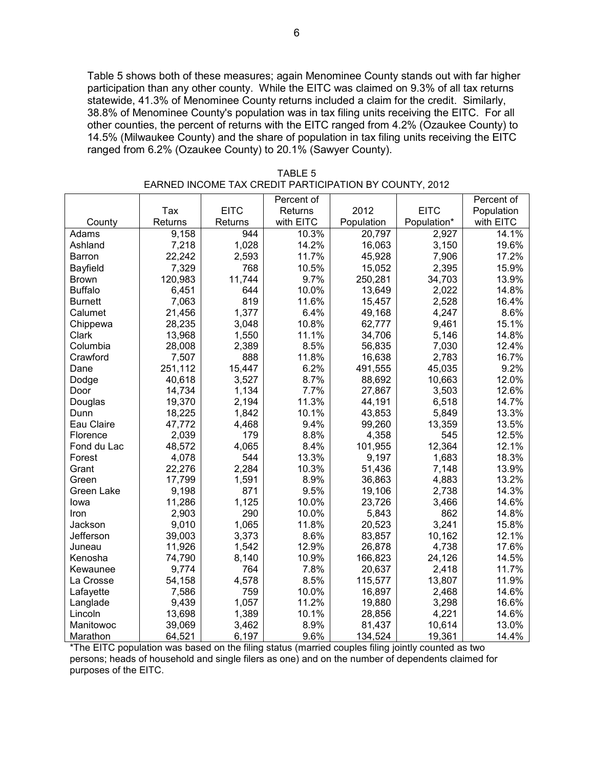Table 5 shows both of these measures; again Menominee County stands out with far higher participation than any other county. While the EITC was claimed on 9.3% of all tax returns statewide, 41.3% of Menominee County returns included a claim for the credit. Similarly, 38.8% of Menominee County's population was in tax filing units receiving the EITC. For all other counties, the percent of returns with the EITC ranged from 4.2% (Ozaukee County) to 14.5% (Milwaukee County) and the share of population in tax filing units receiving the EITC ranged from 6.2% (Ozaukee County) to 20.1% (Sawyer County).

|                |         |             | Percent of |            |             | Percent of |
|----------------|---------|-------------|------------|------------|-------------|------------|
|                | Tax     | <b>EITC</b> | Returns    | 2012       | <b>EITC</b> | Population |
| County         | Returns | Returns     | with EITC  | Population | Population* | with EITC  |
| Adams          | 9,158   | 944         | 10.3%      | 20,797     | 2,927       | 14.1%      |
| Ashland        | 7,218   | 1,028       | 14.2%      | 16,063     | 3,150       | 19.6%      |
| Barron         | 22,242  | 2,593       | 11.7%      | 45,928     | 7,906       | 17.2%      |
| Bayfield       | 7,329   | 768         | 10.5%      | 15,052     | 2,395       | 15.9%      |
| <b>Brown</b>   | 120,983 | 11,744      | 9.7%       | 250,281    | 34,703      | 13.9%      |
| <b>Buffalo</b> | 6,451   | 644         | 10.0%      | 13,649     | 2,022       | 14.8%      |
| <b>Burnett</b> | 7,063   | 819         | 11.6%      | 15,457     | 2,528       | 16.4%      |
| Calumet        | 21,456  | 1,377       | 6.4%       | 49,168     | 4,247       | 8.6%       |
| Chippewa       | 28,235  | 3,048       | 10.8%      | 62,777     | 9,461       | 15.1%      |
| Clark          | 13,968  | 1,550       | 11.1%      | 34,706     | 5,146       | 14.8%      |
| Columbia       | 28,008  | 2,389       | 8.5%       | 56,835     | 7,030       | 12.4%      |
| Crawford       | 7,507   | 888         | 11.8%      | 16,638     | 2,783       | 16.7%      |
| Dane           | 251,112 | 15,447      | 6.2%       | 491,555    | 45,035      | 9.2%       |
| Dodge          | 40,618  | 3,527       | 8.7%       | 88,692     | 10,663      | 12.0%      |
| Door           | 14,734  | 1,134       | 7.7%       | 27,867     | 3,503       | 12.6%      |
| Douglas        | 19,370  | 2,194       | 11.3%      | 44,191     | 6,518       | 14.7%      |
| Dunn           | 18,225  | 1,842       | 10.1%      | 43,853     | 5,849       | 13.3%      |
| Eau Claire     | 47,772  | 4,468       | 9.4%       | 99,260     | 13,359      | 13.5%      |
| Florence       | 2,039   | 179         | 8.8%       | 4,358      | 545         | 12.5%      |
| Fond du Lac    | 48,572  | 4,065       | 8.4%       | 101,955    | 12,364      | 12.1%      |
| Forest         | 4,078   | 544         | 13.3%      | 9,197      | 1,683       | 18.3%      |
| Grant          | 22,276  | 2,284       | 10.3%      | 51,436     | 7,148       | 13.9%      |
| Green          | 17,799  | 1,591       | 8.9%       | 36,863     | 4,883       | 13.2%      |
| Green Lake     | 9,198   | 871         | 9.5%       | 19,106     | 2,738       | 14.3%      |
| lowa           | 11,286  | 1,125       | 10.0%      | 23,726     | 3,466       | 14.6%      |
| Iron           | 2,903   | 290         | 10.0%      | 5,843      | 862         | 14.8%      |
| Jackson        | 9,010   | 1,065       | 11.8%      | 20,523     | 3,241       | 15.8%      |
| Jefferson      | 39,003  | 3,373       | 8.6%       | 83,857     | 10,162      | 12.1%      |
| Juneau         | 11,926  | 1,542       | 12.9%      | 26,878     | 4,738       | 17.6%      |
| Kenosha        | 74,790  | 8,140       | 10.9%      | 166,823    | 24,126      | 14.5%      |
| Kewaunee       | 9,774   | 764         | 7.8%       | 20,637     | 2,418       | 11.7%      |
| La Crosse      | 54,158  | 4,578       | 8.5%       | 115,577    | 13,807      | 11.9%      |
| Lafayette      | 7,586   | 759         | 10.0%      | 16,897     | 2,468       | 14.6%      |
| Langlade       | 9,439   | 1,057       | 11.2%      | 19,880     | 3,298       | 16.6%      |
| Lincoln        | 13,698  | 1,389       | 10.1%      | 28,856     | 4,221       | 14.6%      |
| Manitowoc      | 39,069  | 3,462       | 8.9%       | 81,437     | 10,614      | 13.0%      |
| Marathon       | 64,521  | 6,197       | 9.6%       | 134,524    | 19,361      | 14.4%      |

TABLE 5 EARNED INCOME TAX CREDIT PARTICIPATION BY COUNTY, 2012

\*The EITC population was based on the filing status (married couples filing jointly counted as two persons; heads of household and single filers as one) and on the number of dependents claimed for purposes of the EITC.